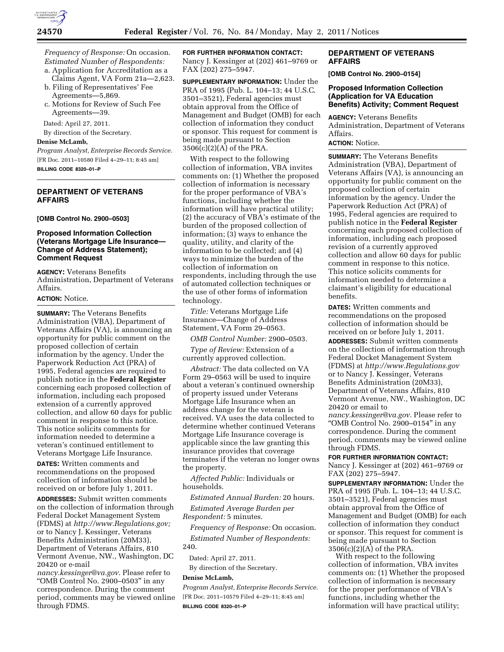

*Frequency of Response:* On occasion. *Estimated Number of Respondents:* 

- a. Application for Accreditation as a Claims Agent, VA Form 21a—2,623.
- b. Filing of Representatives' Fee Agreements—5,869.
- c. Motions for Review of Such Fee Agreements—39.

Dated: April 27, 2011.

By direction of the Secretary.

## **Denise McLamb,**

*Program Analyst, Enterprise Records Service.*  [FR Doc. 2011–10580 Filed 4–29–11; 8:45 am] **BILLING CODE 8320–01–P** 

### **DEPARTMENT OF VETERANS AFFAIRS**

**[OMB Control No. 2900–0503]** 

### **Proposed Information Collection (Veterans Mortgage Life Insurance— Change of Address Statement); Comment Request**

**AGENCY:** Veterans Benefits Administration, Department of Veterans Affairs.

# **ACTION:** Notice.

**SUMMARY:** The Veterans Benefits Administration (VBA), Department of Veterans Affairs (VA), is announcing an opportunity for public comment on the proposed collection of certain information by the agency. Under the Paperwork Reduction Act (PRA) of 1995, Federal agencies are required to publish notice in the **Federal Register**  concerning each proposed collection of information, including each proposed extension of a currently approved collection, and allow 60 days for public comment in response to this notice. This notice solicits comments for information needed to determine a veteran's continued entitlement to Veterans Mortgage Life Insurance.

**DATES:** Written comments and recommendations on the proposed collection of information should be received on or before July 1, 2011.

**ADDRESSES:** Submit written comments on the collection of information through Federal Docket Management System (FDMS) at *[http://www.Regulations.gov;](http://www.Regulations.gov)*  or to Nancy J. Kessinger, Veterans Benefits Administration (20M33), Department of Veterans Affairs, 810 Vermont Avenue, NW., Washington, DC 20420 or e-mail

*[nancy.kessinger@va.gov](mailto:nancy.kessinger@va.gov)*. Please refer to ''OMB Control No. 2900–0503'' in any correspondence. During the comment period, comments may be viewed online through FDMS.

**FOR FURTHER INFORMATION CONTACT:**  Nancy J. Kessinger at (202) 461–9769 or FAX (202) 275–5947.

**SUPPLEMENTARY INFORMATION:** Under the PRA of 1995 (Pub. L. 104–13; 44 U.S.C. 3501–3521), Federal agencies must obtain approval from the Office of Management and Budget (OMB) for each collection of information they conduct or sponsor. This request for comment is being made pursuant to Section  $3506(c)(2)(A)$  of the PRA.

With respect to the following collection of information, VBA invites comments on: (1) Whether the proposed collection of information is necessary for the proper performance of VBA's functions, including whether the information will have practical utility; (2) the accuracy of VBA's estimate of the burden of the proposed collection of information; (3) ways to enhance the quality, utility, and clarity of the information to be collected; and (4) ways to minimize the burden of the collection of information on respondents, including through the use of automated collection techniques or the use of other forms of information technology.

*Title:* Veterans Mortgage Life Insurance—Change of Address Statement, VA Form 29–0563.

*OMB Control Number:* 2900–0503.

*Type of Review:* Extension of a currently approved collection.

*Abstract:* The data collected on VA Form 29–0563 will be used to inquire about a veteran's continued ownership of property issued under Veterans Mortgage Life Insurance when an address change for the veteran is received. VA uses the data collected to determine whether continued Veterans Mortgage Life Insurance coverage is applicable since the law granting this insurance provides that coverage terminates if the veteran no longer owns the property.

*Affected Public:* Individuals or households.

*Estimated Annual Burden:* 20 hours.

*Estimated Average Burden per Respondent:* 5 minutes.

*Frequency of Response:* On occasion. *Estimated Number of Respondents:*  240.

Dated: April 27, 2011. By direction of the Secretary.

#### **Denise McLamb,**

*Program Analyst, Enterprise Records Service.*  [FR Doc. 2011–10579 Filed 4–29–11; 8:45 am] **BILLING CODE 8320–01–P** 

## **DEPARTMENT OF VETERANS AFFAIRS**

**[OMB Control No. 2900–0154]** 

### **Proposed Information Collection (Application for VA Education Benefits) Activity; Comment Request**

**AGENCY:** Veterans Benefits Administration, Department of Veterans Affairs.

## **ACTION:** Notice.

**SUMMARY:** The Veterans Benefits Administration (VBA), Department of Veterans Affairs (VA), is announcing an opportunity for public comment on the proposed collection of certain information by the agency. Under the Paperwork Reduction Act (PRA) of 1995, Federal agencies are required to publish notice in the **Federal Register**  concerning each proposed collection of information, including each proposed revision of a currently approved collection and allow 60 days for public comment in response to this notice. This notice solicits comments for information needed to determine a claimant's eligibility for educational benefits.

**DATES:** Written comments and recommendations on the proposed collection of information should be received on or before July 1, 2011.

**ADDRESSES:** Submit written comments on the collection of information through Federal Docket Management System (FDMS) at *<http://www.Regulations.gov>*  or to Nancy J. Kessinger, Veterans Benefits Administration (20M33), Department of Veterans Affairs, 810 Vermont Avenue, NW., Washington, DC 20420 or email to

*[nancy.kessinger@va.gov](mailto:nancy.kessinger@va.gov)*. Please refer to "OMB Control No. 2900–0154" in any correspondence. During the comment period, comments may be viewed online through FDMS.

## **FOR FURTHER INFORMATION CONTACT:**

Nancy J. Kessinger at (202) 461–9769 or FAX (202) 275–5947.

**SUPPLEMENTARY INFORMATION:** Under the PRA of 1995 (Pub. L. 104–13; 44 U.S.C. 3501–3521), Federal agencies must obtain approval from the Office of Management and Budget (OMB) for each collection of information they conduct or sponsor. This request for comment is being made pursuant to Section 3506(c)(2)(A) of the PRA.

With respect to the following collection of information, VBA invites comments on: (1) Whether the proposed collection of information is necessary for the proper performance of VBA's functions, including whether the information will have practical utility;